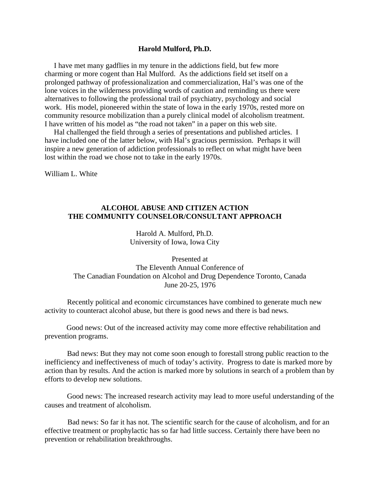## **Harold Mulford, Ph.D.**

 I have met many gadflies in my tenure in the addictions field, but few more charming or more cogent than Hal Mulford. As the addictions field set itself on a prolonged pathway of professionalization and commercialization, Hal's was one of the lone voices in the wilderness providing words of caution and reminding us there were alternatives to following the professional trail of psychiatry, psychology and social work. His model, pioneered within the state of Iowa in the early 1970s, rested more on community resource mobilization than a purely clinical model of alcoholism treatment. I have written of his model as "the road not taken" in a paper on this web site.

 Hal challenged the field through a series of presentations and published articles. I have included one of the latter below, with Hal's gracious permission. Perhaps it will inspire a new generation of addiction professionals to reflect on what might have been lost within the road we chose not to take in the early 1970s.

William L. White

## **ALCOHOL ABUSE AND CITIZEN ACTION THE COMMUNITY COUNSELOR/CONSULTANT APPROACH**

Harold A. Mulford, Ph.D. University of Iowa, Iowa City

Presented at The Eleventh Annual Conference of The Canadian Foundation on Alcohol and Drug Dependence Toronto, Canada June 20-25, 1976

Recently political and economic circumstances have combined to generate much new activity to counteract alcohol abuse, but there is good news and there is bad news.

Good news: Out of the increased activity may come more effective rehabilitation and prevention programs.

Bad news: But they may not come soon enough to forestall strong public reaction to the inefficiency and ineffectiveness of much of today's activity. Progress to date is marked more by action than by results. And the action is marked more by solutions in search of a problem than by efforts to develop new solutions.

Good news: The increased research activity may lead to more useful understanding of the causes and treatment of alcoholism.

Bad news: So far it has not. The scientific search for the cause of alcoholism, and for an effective treatment or prophylactic has so far had little success. Certainly there have been no prevention or rehabilitation breakthroughs.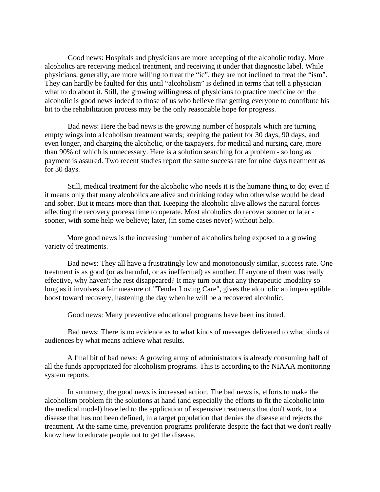Good news: Hospitals and physicians are more accepting of the alcoholic today. More alcoholics are receiving medical treatment, and receiving it under that diagnostic label. While physicians, generally, are more willing to treat the "ic", they are not inclined to treat the "ism". They can hardly be faulted for this until "alcoholism" is defined in terms that tell a physician what to do about it. Still, the growing willingness of physicians to practice medicine on the alcoholic is good news indeed to those of us who believe that getting everyone to contribute his bit to the rehabilitation process may be the only reasonable hope for progress.

Bad news: Here the bad news is the growing number of hospitals which are turning empty wings into a1coholism treatment wards; keeping the patient for 30 days, 90 days, and even longer, and charging the alcoholic, or the taxpayers, for medical and nursing care, more than 90% of which is unnecessary. Here is a solution searching for a problem - so long as payment is assured. Two recent studies report the same success rate for nine days treatment as for 30 days.

Still, medical treatment for the alcoholic who needs it is the humane thing to do; even if it means only that many alcoholics are alive and drinking today who otherwise would be dead and sober. But it means more than that. Keeping the alcoholic alive allows the natural forces affecting the recovery process time to operate. Most alcoholics do recover sooner or later sooner, with some help we believe; later, (in some cases never) without help.

 More good news is the increasing number of alcoholics being exposed to a growing variety of treatments.

Bad news: They all have a frustratingly low and monotonously similar, success rate. One treatment is as good (or as harmful, or as ineffectual) as another. If anyone of them was really effective, why haven't the rest disappeared? It may turn out that any therapeutic .modality so long as it involves a fair measure of "Tender Loving Care", gives the alcoholic an imperceptible boost toward recovery, hastening the day when he will be a recovered alcoholic.

Good news: Many preventive educational programs have been instituted.

Bad news: There is no evidence as to what kinds of messages delivered to what kinds of audiences by what means achieve what results.

A final bit of bad news: A growing army of administrators is already consuming half of all the funds appropriated for alcoholism programs. This is according to the NIAAA monitoring system reports.

In summary, the good news is increased action. The bad news is, efforts to make the alcoholism problem fit the solutions at hand (and especially the efforts to fit the alcoholic into the medical model) have led to the application of expensive treatments that don't work, to a disease that has not been defined, in a target population that denies the disease and rejects the treatment. At the same time, prevention programs proliferate despite the fact that we don't really know hew to educate people not to get the disease.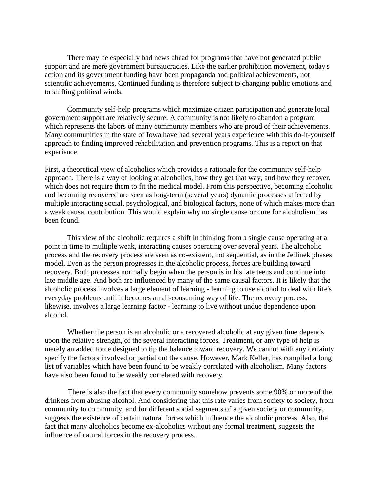There may be especially bad news ahead for programs that have not generated public support and are mere government bureaucracies. Like the earlier prohibition movement, today's action and its government funding have been propaganda and political achievements, not scientific achievements. Continued funding is therefore subject to changing public emotions and to shifting political winds.

Community self-help programs which maximize citizen participation and generate local government support are relatively secure. A community is not likely to abandon a program which represents the labors of many community members who are proud of their achievements. Many communities in the state of Iowa have had several years experience with this do-it-yourself approach to finding improved rehabilitation and prevention programs. This is a report on that experience.

First, a theoretical view of alcoholics which provides a rationale for the community self-help approach. There is a way of looking at alcoholics, how they get that way, and how they recover, which does not require them to fit the medical model. From this perspective, becoming alcoholic and becoming recovered are seen as long-term (several years) dynamic processes affected by multiple interacting social, psychological, and biological factors, none of which makes more than a weak causal contribution. This would explain why no single cause or cure for alcoholism has been found.

 This view of the alcoholic requires a shift in thinking from a single cause operating at a point in time to multiple weak, interacting causes operating over several years. The alcoholic process and the recovery process are seen as co-existent, not sequential, as in the Jellinek phases model. Even as the person progresses in the alcoholic process, forces are building toward recovery. Both processes normally begin when the person is in his late teens and continue into late middle age. And both are influenced by many of the same causal factors. It is likely that the alcoholic process involves a large element of learning - learning to use alcohol to deal with life's everyday problems until it becomes an all-consuming way of life. The recovery process, likewise, involves a large learning factor - learning to live without undue dependence upon alcohol.

Whether the person is an alcoholic or a recovered alcoholic at any given time depends upon the relative strength, of the several interacting forces. Treatment, or any type of help is merely an added force designed to tip the balance toward recovery. We cannot with any certainty specify the factors involved or partial out the cause. However, Mark Keller, has compiled a long list of variables which have been found to be weakly correlated with alcoholism. Many factors have also been found to be weakly correlated with recovery.

There is also the fact that every community somehow prevents some 90% or more of the drinkers from abusing alcohol. And considering that this rate varies from society to society, from community to community, and for different social segments of a given society or community, suggests the existence of certain natural forces which influence the alcoholic process. Also, the fact that many alcoholics become ex-alcoholics without any formal treatment, suggests the influence of natural forces in the recovery process.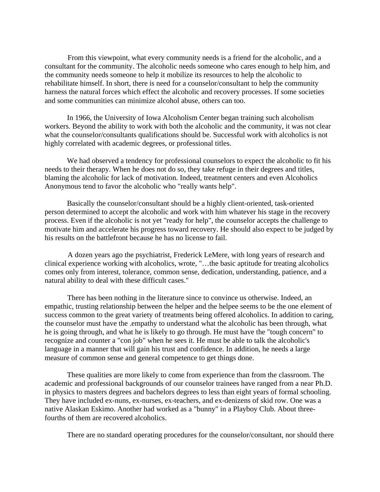From this viewpoint, what every community needs is a friend for the alcoholic, and a consultant for the community. The alcoholic needs someone who cares enough to help him, and the community needs someone to help it mobilize its resources to help the alcoholic to rehabilitate himself. In short, there is need for a counselor/consultant to help the community harness the natural forces which effect the alcoholic and recovery processes. If some societies and some communities can minimize alcohol abuse, others can too.

 In 1966, the University of Iowa Alcoholism Center began training such alcoholism workers. Beyond the ability to work with both the alcoholic and the community, it was not clear what the counselor/consultants qualifications should be. Successful work with alcoholics is not highly correlated with academic degrees, or professional titles.

 We had observed a tendency for professional counselors to expect the alcoholic to fit his needs to their therapy. When he does not do so, they take refuge in their degrees and titles, blaming the alcoholic for lack of motivation. Indeed, treatment centers and even Alcoholics Anonymous tend to favor the alcoholic who "really wants help".

 Basically the counselor/consultant should be a highly client-oriented, task-oriented person determined to accept the alcoholic and work with him whatever his stage in the recovery process. Even if the alcoholic is not yet "ready for help", the counselor accepts the challenge to motivate him and accelerate his progress toward recovery. He should also expect to be judged by his results on the battlefront because he has no license to fail.

A dozen years ago the psychiatrist, Frederick LeMere, with long years of research and clinical experience working with alcoholics, wrote, "…the basic aptitude for treating alcoholics comes only from interest, tolerance, common sense, dedication, understanding, patience, and a natural ability to deal with these difficult cases."

There has been nothing in the literature since to convince us otherwise. Indeed, an empathic, trusting relationship between the helper and the helpee seems to be the one element of success common to the great variety of treatments being offered alcoholics. In addition to caring, the counselor must have the .empathy to understand what the alcoholic has been through, what he is going through, and what he is likely to go through. He must have the "tough concern" to recognize and counter a "con job" when he sees it. He must be able to talk the alcoholic's language in a manner that will gain his trust and confidence. In addition, he needs a large measure of common sense and general competence to get things done.

 These qualities are more likely to come from experience than from the classroom. The academic and professional backgrounds of our counselor trainees have ranged from a near Ph.D. in physics to masters degrees and bachelors degrees to less than eight years of formal schooling. They have included ex-nuns, ex-nurses, ex-teachers, and ex-denizens of skid row. One was a native Alaskan Eskimo. Another had worked as a "bunny" in a Playboy Club. About threefourths of them are recovered alcoholics.

There are no standard operating procedures for the counselor/consultant, nor should there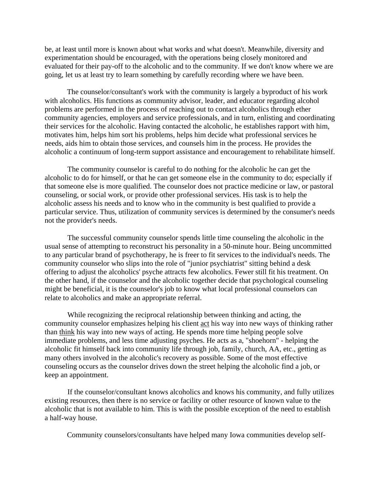be, at least until more is known about what works and what doesn't. Meanwhile, diversity and experimentation should be encouraged, with the operations being closely monitored and evaluated for their pay-off to the alcoholic and to the community. If we don't know where we are going, let us at least try to learn something by carefully recording where we have been.

 The counselor/consultant's work with the community is largely a byproduct of his work with alcoholics. His functions as community advisor, leader, and educator regarding alcohol problems are performed in the process of reaching out to contact alcoholics through ether community agencies, employers and service professionals, and in turn, enlisting and coordinating their services for the alcoholic. Having contacted the alcoholic, he establishes rapport with him, motivates him, helps him sort his problems, helps him decide what professional services he needs, aids him to obtain those services, and counsels him in the process. He provides the alcoholic a continuum of long-term support assistance and encouragement to rehabilitate himself.

The community counselor is careful to do nothing for the alcoholic he can get the alcoholic to do for himself, or that he can get someone else in the community to do; especially if that someone else is more qualified. The counselor does not practice medicine or law, or pastoral counseling, or social work, or provide other professional services. His task is to help the alcoholic assess his needs and to know who in the community is best qualified to provide a particular service. Thus, utilization of community services is determined by the consumer's needs not the provider's needs.

The successful community counselor spends little time counseling the alcoholic in the usual sense of attempting to reconstruct his personality in a 50-minute hour. Being uncommitted to any particular brand of psychotherapy, he is freer to fit services to the individual's needs. The community counselor who slips into the role of "junior psychiatrist" sitting behind a desk offering to adjust the alcoholics' psyche attracts few alcoholics. Fewer still fit his treatment. On the other hand, if the counselor and the alcoholic together decide that psychological counseling might be beneficial, it is the counselor's job to know what local professional counselors can relate to alcoholics and make an appropriate referral.

While recognizing the reciprocal relationship between thinking and acting, the community counselor emphasizes helping his client act his way into new ways of thinking rather than think his way into new ways of acting. He spends more time helping people solve immediate problems, and less time adjusting psyches. He acts as a, "shoehorn" - helping the alcoholic fit himself back into community life through job, family, church, AA, etc., getting as many others involved in the alcoholic's recovery as possible. Some of the most effective counseling occurs as the counselor drives down the street helping the alcoholic find a job, or keep an appointment.

If the counselor/consultant knows alcoholics and knows his community, and fully utilizes existing resources, then there is no service or facility or other resource of known value to the alcoholic that is not available to him. This is with the possible exception of the need to establish a half-way house.

Community counselors/consultants have helped many Iowa communities develop self-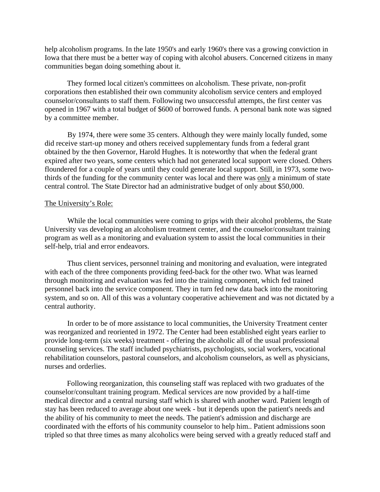help alcoholism programs. In the late 1950's and early 1960's there vas a growing conviction in Iowa that there must be a better way of coping with alcohol abusers. Concerned citizens in many communities began doing something about it.

 They formed local citizen's committees on alcoholism. These private, non-profit corporations then established their own community alcoholism service centers and employed counselor/consultants to staff them. Following two unsuccessful attempts, the first center vas opened in 1967 with a total budget of \$600 of borrowed funds. A personal bank note was signed by a committee member.

By 1974, there were some 35 centers. Although they were mainly locally funded, some did receive start-up money and others received supplementary funds from a federal grant obtained by the then Governor, Harold Hughes. It is noteworthy that when the federal grant expired after two years, some centers which had not generated local support were closed. Others floundered for a couple of years until they could generate local support. Still, in 1973, some twothirds of the funding for the community center was local and there was only a minimum of state central control. The State Director had an administrative budget of only about \$50,000.

## The University's Role:

While the local communities were coming to grips with their alcohol problems, the State University vas developing an alcoholism treatment center, and the counselor/consultant training program as well as a monitoring and evaluation system to assist the local communities in their self-help, trial and error endeavors.

Thus client services, personnel training and monitoring and evaluation, were integrated with each of the three components providing feed-back for the other two. What was learned through monitoring and evaluation was fed into the training component, which fed trained personnel back into the service component. They in turn fed new data back into the monitoring system, and so on. All of this was a voluntary cooperative achievement and was not dictated by a central authority.

In order to be of more assistance to local communities, the University Treatment center was reorganized and reoriented in 1972. The Center had been established eight years earlier to provide long-term (six weeks) treatment - offering the alcoholic all of the usual professional counseling services. The staff included psychiatrists, psychologists, social workers, vocational rehabilitation counselors, pastoral counselors, and alcoholism counselors, as well as physicians, nurses and orderlies.

 Following reorganization, this counseling staff was replaced with two graduates of the counselor/consultant training program. Medical services are now provided by a half-time medical director and a central nursing staff which is shared with another ward. Patient length of stay has been reduced to average about one week - but it depends upon the patient's needs and the ability of his community to meet the needs. The patient's admission and discharge are coordinated with the efforts of his community counselor to help him.. Patient admissions soon tripled so that three times as many alcoholics were being served with a greatly reduced staff and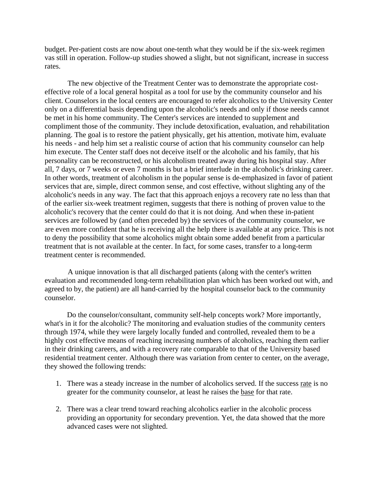budget. Per-patient costs are now about one-tenth what they would be if the six-week regimen vas still in operation. Follow-up studies showed a slight, but not significant, increase in success rates.

The new objective of the Treatment Center was to demonstrate the appropriate costeffective role of a local general hospital as a tool for use by the community counselor and his client. Counselors in the local centers are encouraged to refer alcoholics to the University Center only on a differential basis depending upon the alcoholic's needs and only if those needs cannot be met in his home community. The Center's services are intended to supplement and compliment those of the community. They include detoxification, evaluation, and rehabilitation planning. The goal is to restore the patient physically, get his attention, motivate him, evaluate his needs - and help him set a realistic course of action that his community counselor can help him execute. The Center staff does not deceive itself or the alcoholic and his family, that his personality can be reconstructed, or his alcoholism treated away during his hospital stay. After all, 7 days, or 7 weeks or even 7 months is but a brief interlude in the alcoholic's drinking career. In other words, treatment of alcoholism in the popular sense is de-emphasized in favor of patient services that are, simple, direct common sense, and cost effective, without slighting any of the alcoholic's needs in any way. The fact that this approach enjoys a recovery rate no less than that of the earlier six-week treatment regimen, suggests that there is nothing of proven value to the alcoholic's recovery that the center could do that it is not doing. And when these in-patient services are followed by (and often preceded by) the services of the community counselor, we are even more confident that he is receiving all the help there is available at any price. This is not to deny the possibility that some alcoholics might obtain some added benefit from a particular treatment that is not available at the center. In fact, for some cases, transfer to a long-term treatment center is recommended.

A unique innovation is that all discharged patients (along with the center's written evaluation and recommended long-term rehabilitation plan which has been worked out with, and agreed to by, the patient) are all hand-carried by the hospital counselor back to the community counselor.

 Do the counselor/consultant, community self-help concepts work? More importantly, what's in it for the alcoholic? The monitoring and evaluation studies of the community centers through 1974, while they were largely locally funded and controlled, revealed them to be a highly cost effective means of reaching increasing numbers of alcoholics, reaching them earlier in their drinking careers, and with a recovery rate comparable to that of the University based residential treatment center. Although there was variation from center to center, on the average, they showed the following trends:

- 1. There was a steady increase in the number of alcoholics served. If the success rate is no greater for the community counselor, at least he raises the base for that rate.
- 2. There was a clear trend toward reaching alcoholics earlier in the alcoholic process providing an opportunity for secondary prevention. Yet, the data showed that the more advanced cases were not slighted.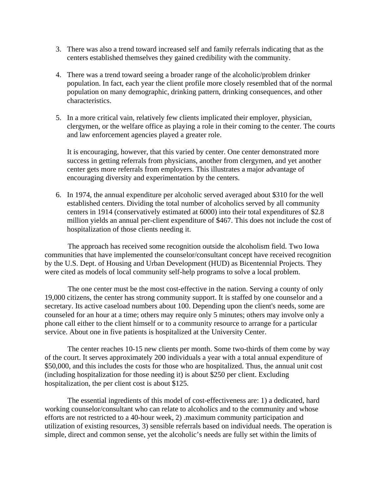- 3. There was also a trend toward increased self and family referrals indicating that as the centers established themselves they gained credibility with the community.
- 4. There was a trend toward seeing a broader range of the alcoholic/problem drinker population. In fact, each year the client profile more closely resembled that of the normal population on many demographic, drinking pattern, drinking consequences, and other characteristics.
- 5. In a more critical vain, relatively few clients implicated their employer, physician, clergymen, or the welfare office as playing a role in their coming to the center. The courts and law enforcement agencies played a greater role.

 It is encouraging, however, that this varied by center. One center demonstrated more success in getting referrals from physicians, another from clergymen, and yet another center gets more referrals from employers. This illustrates a major advantage of encouraging diversity and experimentation by the centers.

6. In 1974, the annual expenditure per alcoholic served averaged about \$310 for the well established centers. Dividing the total number of alcoholics served by all community centers in 1914 (conservatively estimated at 6000) into their total expenditures of \$2.8 million yields an annual per-client expenditure of \$467. This does not include the cost of hospitalization of those clients needing it.

The approach has received some recognition outside the alcoholism field. Two Iowa communities that have implemented the counselor/consultant concept have received recognition by the U.S. Dept. of Housing and Urban Development (HUD) as Bicentennial Projects. They were cited as models of local community self-help programs to solve a local problem.

The one center must be the most cost-effective in the nation. Serving a county of only 19,000 citizens, the center has strong community support. It is staffed by one counselor and a secretary. Its active caseload numbers about 100. Depending upon the client's needs, some are counseled for an hour at a time; others may require only 5 minutes; others may involve only a phone call either to the client himself or to a community resource to arrange for a particular service. About one in five patients is hospitalized at the University Center.

The center reaches 10-15 new clients per month. Some two-thirds of them come by way of the court. It serves approximately 200 individuals a year with a total annual expenditure of \$50,000, and this includes the costs for those who are hospitalized. Thus, the annual unit cost (including hospitalization for those needing it) is about \$250 per client. Excluding hospitalization, the per client cost is about \$125.

The essential ingredients of this model of cost-effectiveness are: 1) a dedicated, hard working counselor/consultant who can relate to alcoholics and to the community and whose efforts are not restricted to a 40-hour week, 2) .maximum community participation and utilization of existing resources, 3) sensible referrals based on individual needs. The operation is simple, direct and common sense, yet the alcoholic's needs are fully set within the limits of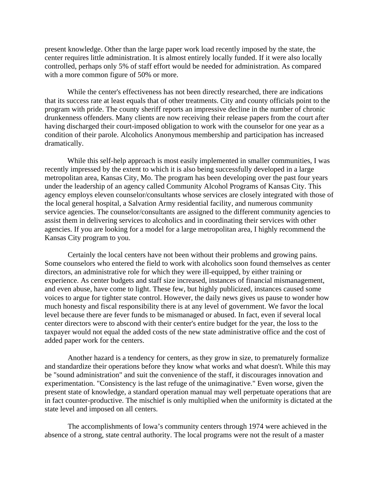present knowledge. Other than the large paper work load recently imposed by the state, the center requires little administration. It is almost entirely locally funded. If it were also locally controlled, perhaps only 5% of staff effort would be needed for administration. As compared with a more common figure of 50% or more.

While the center's effectiveness has not been directly researched, there are indications that its success rate at least equals that of other treatments. City and county officials point to the program with pride. The county sheriff reports an impressive decline in the number of chronic drunkenness offenders. Many clients are now receiving their release papers from the court after having discharged their court-imposed obligation to work with the counselor for one year as a condition of their parole. Alcoholics Anonymous membership and participation has increased dramatically.

While this self-help approach is most easily implemented in smaller communities, I was recently impressed by the extent to which it is also being successfully developed in a large metropolitan area, Kansas City, Mo. The program has been developing over the past four years under the leadership of an agency called Community Alcohol Programs of Kansas City. This agency employs eleven counselor/consultants whose services are closely integrated with those of the local general hospital, a Salvation Army residential facility, and numerous community service agencies. The counselor/consultants are assigned to the different community agencies to assist them in delivering services to alcoholics and in coordinating their services with other agencies. If you are looking for a model for a large metropolitan area, I highly recommend the Kansas City program to you.

Certainly the local centers have not been without their problems and growing pains. Some counselors who entered the field to work with alcoholics soon found themselves as center directors, an administrative role for which they were ill-equipped, by either training or experience. As center budgets and staff size increased, instances of financial mismanagement, and even abuse, have come to light. These few, but highly publicized, instances caused some voices to argue for tighter state control. However, the daily news gives us pause to wonder how much honesty and fiscal responsibility there is at any level of government. We favor the local level because there are fever funds to be mismanaged or abused. In fact, even if several local center directors were to abscond with their center's entire budget for the year, the loss to the taxpayer would not equal the added costs of the new state administrative office and the cost of added paper work for the centers.

Another hazard is a tendency for centers, as they grow in size, to prematurely formalize and standardize their operations before they know what works and what doesn't. While this may be "sound administration" and suit the convenience of the staff, it discourages innovation and experimentation. "Consistency is the last refuge of the unimaginative." Even worse, given the present state of knowledge, a standard operation manual may well perpetuate operations that are in fact counter-productive. The mischief is only multiplied when the uniformity is dictated at the state level and imposed on all centers.

The accomplishments of Iowa's community centers through 1974 were achieved in the absence of a strong, state central authority. The local programs were not the result of a master